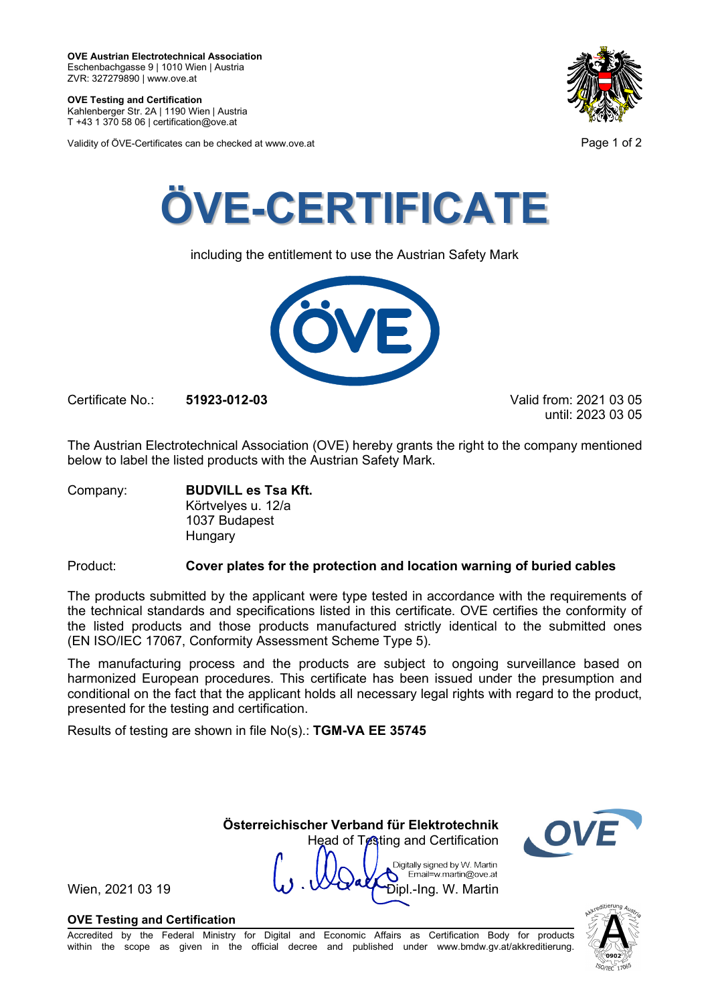**OVE Testing and Certification** Kahlenberger Str. 2A | 1190 Wien | Austria

T +43 1 370 58 06 | certification@ove.at

Validity of ÖVE-Certificates can be checked at www.ove.at **Page 1 of 2** and 2





including the entitlement to use the Austrian Safety Mark



Certificate No.: **51923-012-03** Valid from: 2021 03 05

until: 2023 03 05

The Austrian Electrotechnical Association (OVE) hereby grants the right to the company mentioned below to label the listed products with the Austrian Safety Mark.

Company: **BUDVILL es Tsa Kft.** Körtvelyes u. 12/a 1037 Budapest Hungary

Product: **Cover plates for the protection and location warning of buried cables**

The products submitted by the applicant were type tested in accordance with the requirements of the technical standards and specifications listed in this certificate. OVE certifies the conformity of the listed products and those products manufactured strictly identical to the submitted ones (EN ISO/IEC 17067, Conformity Assessment Scheme Type 5).

The manufacturing process and the products are subject to ongoing surveillance based on harmonized European procedures. This certificate has been issued under the presumption and conditional on the fact that the applicant holds all necessary legal rights with regard to the product, presented for the testing and certification.

**Österreichischer Verband für Elektrotechnik**

Head of Testing and Certification

Digitally signed by W. Martin Email=w.martin@ove.at

Results of testing are shown in file No(s).: **TGM-VA EE 35745**

Wien, 2021 03 19  $\mathbf{W} \cdot \mathbf{W}$   $\mathbf{W}$   $\mathbf{W}$   $\mathbf{D}$   $\mathbf{p}$   $\mathbf{L}$   $\mathbf{P}$   $\mathbf{D}$   $\mathbf{p}$   $\mathbf{L}$   $\mathbf{P}$   $\mathbf{S}$   $\mathbf{R}$   $\mathbf{S}$   $\mathbf{R}$   $\mathbf{S}$   $\mathbf{S}$   $\mathbf{S}$   $\mathbf{S}$   $\mathbf{S}$   $\mathbf{S}$   $\mathbf{S}$ 

## **OVE Testing and Certification**

Accredited by the Federal Ministry for Digital and Economic Affairs as Certification Body for products within the scope as given in the official decree and published under www.bmdw.gv.at/akkreditierung.